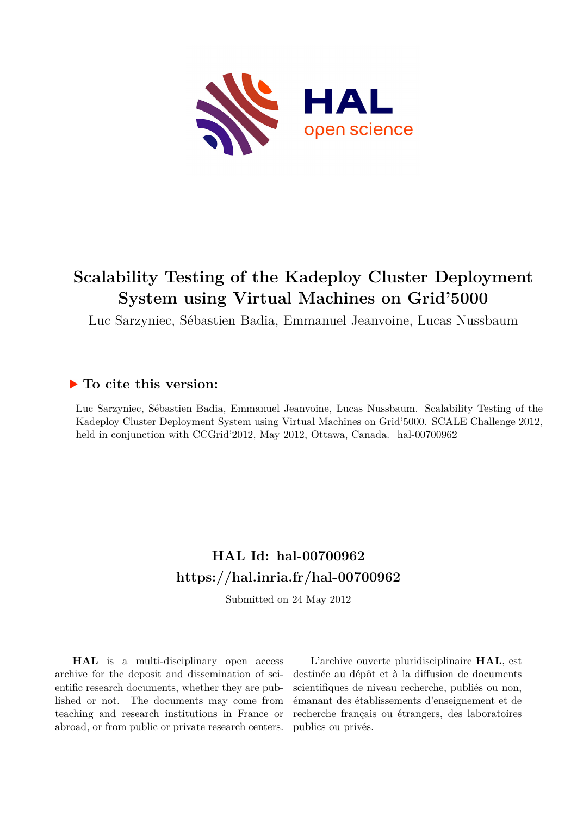

## **Scalability Testing of the Kadeploy Cluster Deployment System using Virtual Machines on Grid'5000**

Luc Sarzyniec, Sébastien Badia, Emmanuel Jeanvoine, Lucas Nussbaum

### **To cite this version:**

Luc Sarzyniec, Sébastien Badia, Emmanuel Jeanvoine, Lucas Nussbaum. Scalability Testing of the Kadeploy Cluster Deployment System using Virtual Machines on Grid'5000. SCALE Challenge 2012, held in conjunction with CCGrid'2012, May 2012, Ottawa, Canada. hal-00700962

## **HAL Id: hal-00700962 <https://hal.inria.fr/hal-00700962>**

Submitted on 24 May 2012

**HAL** is a multi-disciplinary open access archive for the deposit and dissemination of scientific research documents, whether they are published or not. The documents may come from teaching and research institutions in France or abroad, or from public or private research centers.

L'archive ouverte pluridisciplinaire **HAL**, est destinée au dépôt et à la diffusion de documents scientifiques de niveau recherche, publiés ou non, émanant des établissements d'enseignement et de recherche français ou étrangers, des laboratoires publics ou privés.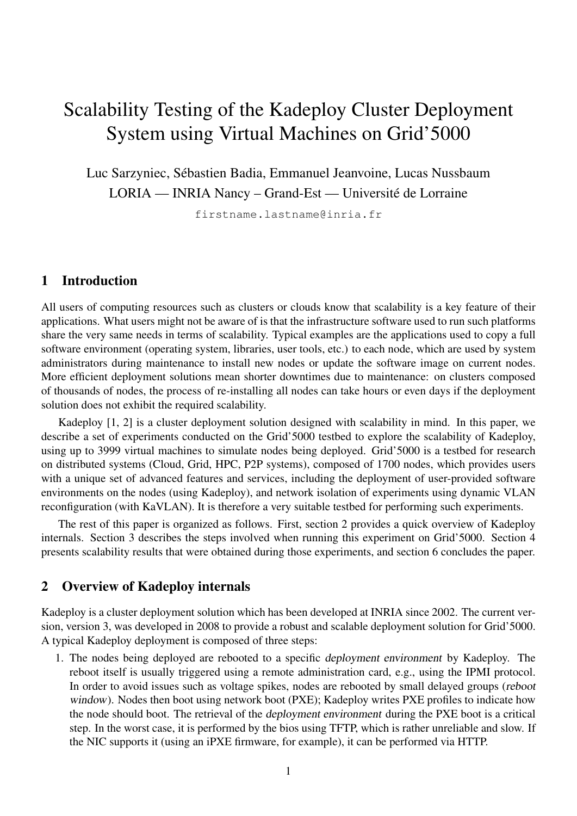# Scalability Testing of the Kadeploy Cluster Deployment System using Virtual Machines on Grid'5000

Luc Sarzyniec, Sébastien Badia, Emmanuel Jeanvoine, Lucas Nussbaum LORIA — INRIA Nancy – Grand-Est — Université de Lorraine

firstname.lastname@inria.fr

#### 1 Introduction

All users of computing resources such as clusters or clouds know that scalability is a key feature of their applications. What users might not be aware of is that the infrastructure software used to run such platforms share the very same needs in terms of scalability. Typical examples are the applications used to copy a full software environment (operating system, libraries, user tools, etc.) to each node, which are used by system administrators during maintenance to install new nodes or update the software image on current nodes. More efficient deployment solutions mean shorter downtimes due to maintenance: on clusters composed of thousands of nodes, the process of re-installing all nodes can take hours or even days if the deployment solution does not exhibit the required scalability.

Kadeploy [\[1,](#page-5-0) [2\]](#page-5-1) is a cluster deployment solution designed with scalability in mind. In this paper, we describe a set of experiments conducted on the Grid'5000 testbed to explore the scalability of Kadeploy, using up to 3999 virtual machines to simulate nodes being deployed. Grid'5000 is a testbed for research on distributed systems (Cloud, Grid, HPC, P2P systems), composed of 1700 nodes, which provides users with a unique set of advanced features and services, including the deployment of user-provided software environments on the nodes (using Kadeploy), and network isolation of experiments using dynamic VLAN reconfiguration (with KaVLAN). It is therefore a very suitable testbed for performing such experiments.

The rest of this paper is organized as follows. First, section [2](#page-1-0) provides a quick overview of Kadeploy internals. Section [3](#page-2-0) describes the steps involved when running this experiment on Grid'5000. Section [4](#page-3-0) presents scalability results that were obtained during those experiments, and section [6](#page-4-0) concludes the paper.

#### <span id="page-1-0"></span>2 Overview of Kadeploy internals

Kadeploy is a cluster deployment solution which has been developed at INRIA since 2002. The current version, version 3, was developed in 2008 to provide a robust and scalable deployment solution for Grid'5000. A typical Kadeploy deployment is composed of three steps:

1. The nodes being deployed are rebooted to a specific deployment environment by Kadeploy. The reboot itself is usually triggered using a remote administration card, e.g., using the IPMI protocol. In order to avoid issues such as voltage spikes, nodes are rebooted by small delayed groups (reboot window). Nodes then boot using network boot (PXE); Kadeploy writes PXE profiles to indicate how the node should boot. The retrieval of the deployment environment during the PXE boot is a critical step. In the worst case, it is performed by the bios using TFTP, which is rather unreliable and slow. If the NIC supports it (using an iPXE firmware, for example), it can be performed via HTTP.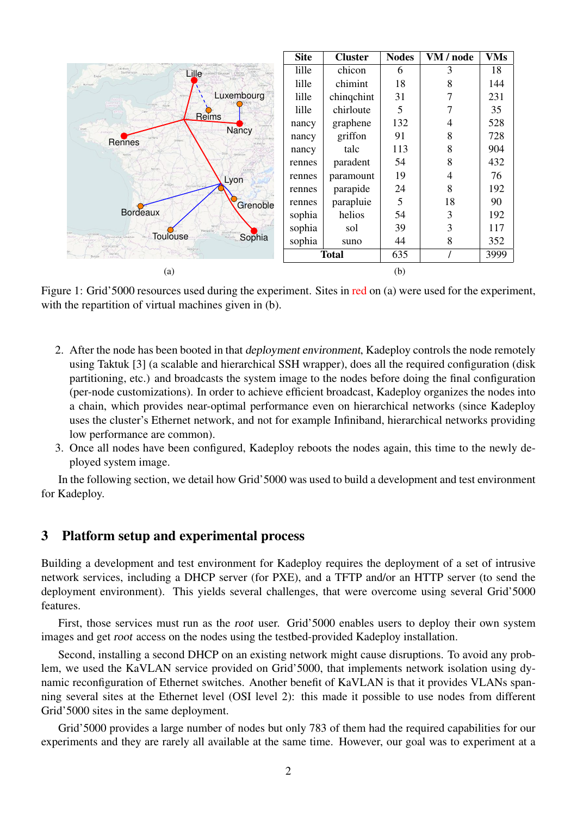<span id="page-2-1"></span>

|                                                                       | <b>Site</b>  | <b>Cluster</b> | <b>Nodes</b> | VM / node | <b>VMs</b> |
|-----------------------------------------------------------------------|--------------|----------------|--------------|-----------|------------|
| Salisbury<br>Southampton<br>Lille<br>welles: Brussel<br>Brighton      | lille        | chicon         | 6            | 3         | 18         |
| <b>Plymouth</b><br>Koblem                                             | lille        | chimint        | 18           | 8         | 144        |
| Luxembourg                                                            | lille        | chingchint     | 31           |           | 231        |
| Le Havre<br>Routin<br><b>Reims</b>                                    | lille        | chirloute      | 5            |           | 35         |
| Brest                                                                 | nancy        | graphene       | 132          | 4         | 528        |
| Nancy<br>Rennes                                                       | nancy        | griffon        | 91           | 8         | 728        |
| Narities<br>Besancor                                                  | nancy        | talc           | 113          | 8         | 904        |
| Poitiers                                                              | rennes       | paradent       | 54           | 8         | 432        |
| Lyon                                                                  | rennes       | paramount      | 19           | 4         | 76         |
| Clemant Ferran<br>Grenoble                                            | rennes       | parapide       | 24           | 8         | 192        |
|                                                                       | rennes       | parapluie      | 5            | 18        | 90         |
| <b>Bordeaux</b>                                                       | sophia       | helios         | 54           | 3         | 192        |
| Montpellier                                                           | sophia       | sol            | 39           | 3         | 117        |
| <b>Toulouse</b><br>Sophia<br>Donostia/San Sebastián<br>Vitoria Gastei | sophia       | suno           | 44           | 8         | 352        |
|                                                                       | <b>Total</b> |                | 635          |           | 3999       |
| (a)                                                                   |              |                | (b)          |           |            |

<span id="page-2-2"></span>Figure 1: Grid'5000 resources used during the experiment. Sites in red on [\(a\)](#page-2-1) were used for the experiment, with the repartition of virtual machines given in [\(b\).](#page-2-2)

- <span id="page-2-3"></span>2. After the node has been booted in that deployment environment, Kadeploy controls the node remotely using Taktuk [\[3\]](#page-5-2) (a scalable and hierarchical SSH wrapper), does all the required configuration (disk partitioning, etc.) and broadcasts the system image to the nodes before doing the final configuration (per-node customizations). In order to achieve efficient broadcast, Kadeploy organizes the nodes into a chain, which provides near-optimal performance even on hierarchical networks (since Kadeploy uses the cluster's Ethernet network, and not for example Infiniband, hierarchical networks providing low performance are common).
- 3. Once all nodes have been configured, Kadeploy reboots the nodes again, this time to the newly deployed system image.

In the following section, we detail how Grid'5000 was used to build a development and test environment for Kadeploy.

#### <span id="page-2-0"></span>3 Platform setup and experimental process

Building a development and test environment for Kadeploy requires the deployment of a set of intrusive network services, including a DHCP server (for PXE), and a TFTP and/or an HTTP server (to send the deployment environment). This yields several challenges, that were overcome using several Grid'5000 features.

First, those services must run as the root user. Grid'5000 enables users to deploy their own system images and get root access on the nodes using the testbed-provided Kadeploy installation.

Second, installing a second DHCP on an existing network might cause disruptions. To avoid any problem, we used the KaVLAN service provided on Grid'5000, that implements network isolation using dynamic reconfiguration of Ethernet switches. Another benefit of KaVLAN is that it provides VLANs spanning several sites at the Ethernet level (OSI level 2): this made it possible to use nodes from different Grid'5000 sites in the same deployment.

Grid'5000 provides a large number of nodes but only 783 of them had the required capabilities for our experiments and they are rarely all available at the same time. However, our goal was to experiment at a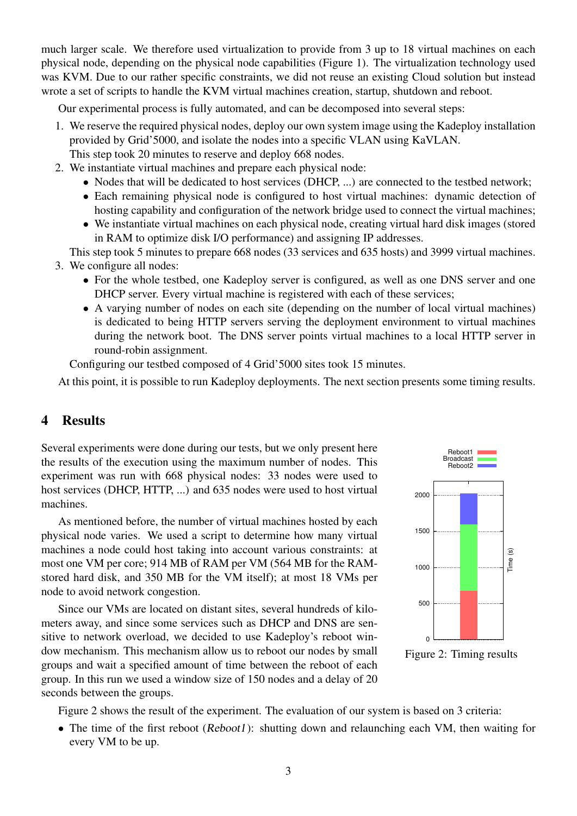much larger scale. We therefore used virtualization to provide from 3 up to 18 virtual machines on each physical node, depending on the physical node capabilities (Figure [1\)](#page-2-3). The virtualization technology used was KVM. Due to our rather specific constraints, we did not reuse an existing Cloud solution but instead wrote a set of scripts to handle the KVM virtual machines creation, startup, shutdown and reboot.

Our experimental process is fully automated, and can be decomposed into several steps:

- 1. We reserve the required physical nodes, deploy our own system image using the Kadeploy installation provided by Grid'5000, and isolate the nodes into a specific VLAN using KaVLAN. This step took 20 minutes to reserve and deploy 668 nodes.
- 2. We instantiate virtual machines and prepare each physical node:
	- Nodes that will be dedicated to host services (DHCP, ...) are connected to the testbed network;
	- Each remaining physical node is configured to host virtual machines: dynamic detection of hosting capability and configuration of the network bridge used to connect the virtual machines;
	- We instantiate virtual machines on each physical node, creating virtual hard disk images (stored in RAM to optimize disk I/O performance) and assigning IP addresses.

This step took 5 minutes to prepare 668 nodes (33 services and 635 hosts) and 3999 virtual machines. 3. We configure all nodes:

- For the whole testbed, one Kadeploy server is configured, as well as one DNS server and one DHCP server. Every virtual machine is registered with each of these services;
- A varying number of nodes on each site (depending on the number of local virtual machines) is dedicated to being HTTP servers serving the deployment environment to virtual machines during the network boot. The DNS server points virtual machines to a local HTTP server in round-robin assignment.

Configuring our testbed composed of 4 Grid'5000 sites took 15 minutes.

At this point, it is possible to run Kadeploy deployments. The next section presents some timing results.

#### <span id="page-3-0"></span>4 Results

Several experiments were done during our tests, but we only present here the results of the execution using the maximum number of nodes. This experiment was run with 668 physical nodes: 33 nodes were used to host services (DHCP, HTTP, ...) and 635 nodes were used to host virtual machines.

As mentioned before, the number of virtual machines hosted by each physical node varies. We used a script to determine how many virtual machines a node could host taking into account various constraints: at most one VM per core; 914 MB of RAM per VM (564 MB for the RAMstored hard disk, and 350 MB for the VM itself); at most 18 VMs per node to avoid network congestion.

Since our VMs are located on distant sites, several hundreds of kilometers away, and since some services such as DHCP and DNS are sensitive to network overload, we decided to use Kadeploy's reboot window mechanism. This mechanism allow us to reboot our nodes by small groups and wait a specified amount of time between the reboot of each group. In this run we used a window size of 150 nodes and a delay of 20 seconds between the groups.



<span id="page-3-1"></span>Figure 2: Timing results

Figure [2](#page-3-1) shows the result of the experiment. The evaluation of our system is based on 3 criteria:

• The time of the first reboot (Reboot1): shutting down and relaunching each VM, then waiting for every VM to be up.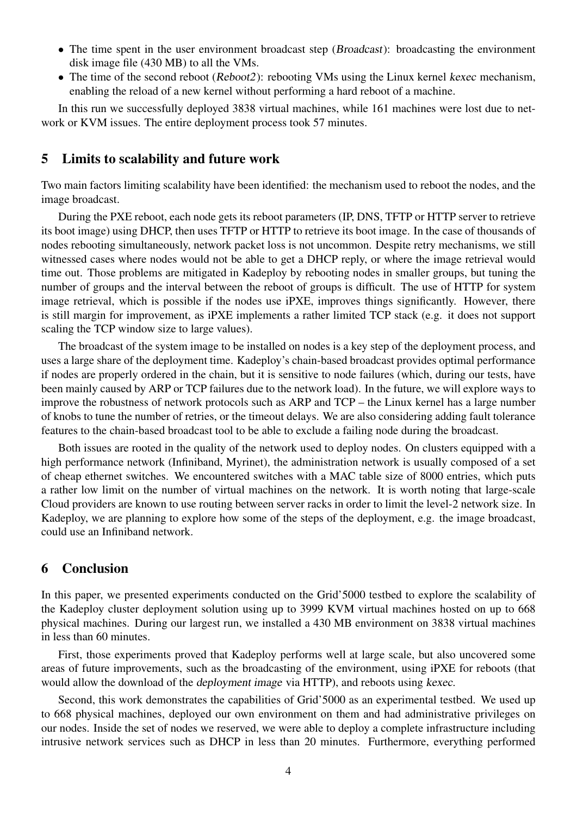- The time spent in the user environment broadcast step (Broadcast): broadcasting the environment disk image file (430 MB) to all the VMs.
- The time of the second reboot (Reboot2): rebooting VMs using the Linux kernel kexec mechanism, enabling the reload of a new kernel without performing a hard reboot of a machine.

In this run we successfully deployed 3838 virtual machines, while 161 machines were lost due to network or KVM issues. The entire deployment process took 57 minutes.

#### 5 Limits to scalability and future work

Two main factors limiting scalability have been identified: the mechanism used to reboot the nodes, and the image broadcast.

During the PXE reboot, each node gets its reboot parameters (IP, DNS, TFTP or HTTP server to retrieve its boot image) using DHCP, then uses TFTP or HTTP to retrieve its boot image. In the case of thousands of nodes rebooting simultaneously, network packet loss is not uncommon. Despite retry mechanisms, we still witnessed cases where nodes would not be able to get a DHCP reply, or where the image retrieval would time out. Those problems are mitigated in Kadeploy by rebooting nodes in smaller groups, but tuning the number of groups and the interval between the reboot of groups is difficult. The use of HTTP for system image retrieval, which is possible if the nodes use iPXE, improves things significantly. However, there is still margin for improvement, as iPXE implements a rather limited TCP stack (e.g. it does not support scaling the TCP window size to large values).

The broadcast of the system image to be installed on nodes is a key step of the deployment process, and uses a large share of the deployment time. Kadeploy's chain-based broadcast provides optimal performance if nodes are properly ordered in the chain, but it is sensitive to node failures (which, during our tests, have been mainly caused by ARP or TCP failures due to the network load). In the future, we will explore ways to improve the robustness of network protocols such as ARP and TCP – the Linux kernel has a large number of knobs to tune the number of retries, or the timeout delays. We are also considering adding fault tolerance features to the chain-based broadcast tool to be able to exclude a failing node during the broadcast.

Both issues are rooted in the quality of the network used to deploy nodes. On clusters equipped with a high performance network (Infiniband, Myrinet), the administration network is usually composed of a set of cheap ethernet switches. We encountered switches with a MAC table size of 8000 entries, which puts a rather low limit on the number of virtual machines on the network. It is worth noting that large-scale Cloud providers are known to use routing between server racks in order to limit the level-2 network size. In Kadeploy, we are planning to explore how some of the steps of the deployment, e.g. the image broadcast, could use an Infiniband network.

#### <span id="page-4-0"></span>6 Conclusion

In this paper, we presented experiments conducted on the Grid'5000 testbed to explore the scalability of the Kadeploy cluster deployment solution using up to 3999 KVM virtual machines hosted on up to 668 physical machines. During our largest run, we installed a 430 MB environment on 3838 virtual machines in less than 60 minutes.

First, those experiments proved that Kadeploy performs well at large scale, but also uncovered some areas of future improvements, such as the broadcasting of the environment, using iPXE for reboots (that would allow the download of the deployment image via HTTP), and reboots using kexec.

Second, this work demonstrates the capabilities of Grid'5000 as an experimental testbed. We used up to 668 physical machines, deployed our own environment on them and had administrative privileges on our nodes. Inside the set of nodes we reserved, we were able to deploy a complete infrastructure including intrusive network services such as DHCP in less than 20 minutes. Furthermore, everything performed